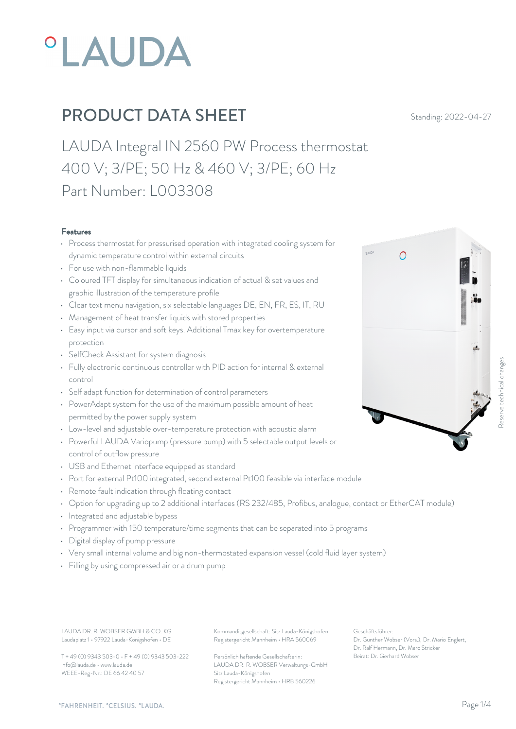# **°LAUDA**

## **PRODUCT DATA SHEET** Standing: 2022-04-27

LAUDA Integral IN 2560 PW Process thermostat 400 V; 3/PE; 50 Hz & 460 V; 3/PE; 60 Hz Part Number: L003308

### Features

- Process thermostat for pressurised operation with integrated cooling system for dynamic temperature control within external circuits
- For use with non-flammable liquids
- Coloured TFT display for simultaneous indication of actual & set values and graphic illustration of the temperature profile
- Clear text menu navigation, six selectable languages DE, EN, FR, ES, IT, RU
- Management of heat transfer liquids with stored properties
- Easy input via cursor and soft keys. Additional Tmax key for overtemperature protection
- SelfCheck Assistant for system diagnosis
- Fully electronic continuous controller with PID action for internal & external control
- Self adapt function for determination of control parameters
- PowerAdapt system for the use of the maximum possible amount of heat permitted by the power supply system
- Low-level and adjustable over-temperature protection with acoustic alarm
- Powerful LAUDA Variopump (pressure pump) with 5 selectable output levels or control of outflow pressure
- USB and Ethernet interface equipped as standard
- Port for external Pt100 integrated, second external Pt100 feasible via interface module
- Remote fault indication through floating contact
- Option for upgrading up to 2 additional interfaces (RS 232/485, Profibus, analogue, contact or EtherCAT module)
- Integrated and adjustable bypass
- Programmer with 150 temperature/time segments that can be separated into 5 programs
- Digital display of pump pressure
- Very small internal volume and big non-thermostated expansion vessel (cold fluid layer system)
- Filling by using compressed air or a drum pump

Laudaplatz 1 • 97922 Lauda-Königshofen • DE

T + 49 (0) 9343 503-0 • F + 49 (0) 9343 503-222 info@lauda.de • www.lauda.de WEEE-Reg-Nr.: DE 66 42 40 57

LAUDA DR. R. WOBSER GMBH & CO. KG Kommanditgesellschaft: Sitz Lauda-Königshofen Geschäftsführer: Registergericht Mannheim • HRA 560069

> Persönlich haftende Gesellschafterin: Beirat: Dr. Gerhard Wobse LAUDA DR. R. WOBSER Verwaltungs-GmbH Sitz Lauda-Königshofen Registergericht Mannheim • HRB 560226

Geschäftsführer: Dr. Gunther Wobser (Vors.), Dr. Mario Englert, Dr. Ralf Hermann, Dr. Marc Stricker

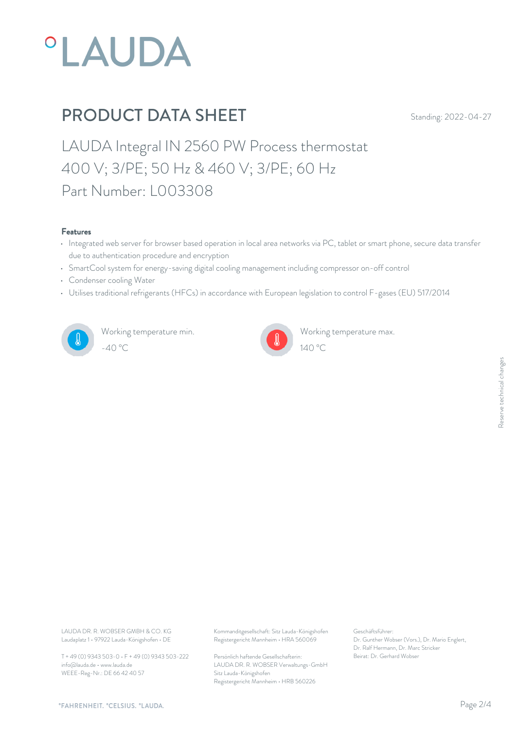

### PRODUCT DATA SHEET Standing: 2022-04-27

LAUDA Integral IN 2560 PW Process thermostat 400 V; 3/PE; 50 Hz & 460 V; 3/PE; 60 Hz Part Number: L003308

#### Features

- Integrated web server for browser based operation in local area networks via PC, tablet or smart phone, secure data transfer due to authentication procedure and encryption
- SmartCool system for energy-saving digital cooling management including compressor on-off control
- Condenser cooling Water
- Utilises traditional refrigerants (HFCs) in accordance with European legislation to control F-gases (EU) 517/2014



Working temperature min. -40 °C 140 °C



Working temperature max.

Laudaplatz 1 • 97922 Lauda-Königshofen • DE

T + 49 (0) 9343 503-0 • F + 49 (0) 9343 503-222 info@lauda.de • www.lauda.de WEEE-Reg-Nr.: DE 66 42 40 57

LAUDA DR. R. WOBSER GMBH & CO. KG Kommanditgesellschaft: Sitz Lauda-Königshofen Geschäftsführer: Registergericht Mannheim • HRA 560069

> Persönlich haftende Gesellschafterin: Beirat: Dr. Gerhard Wobse LAUDA DR. R. WOBSER Verwaltungs-GmbH Sitz Lauda-Königshofen Registergericht Mannheim • HRB 560226

Geschäftsführer: Dr. Gunther Wobser (Vors.), Dr. Mario Englert, Dr. Ralf Hermann, Dr. Marc Stricker Beschäftsführer:<br>Dr. Gunther Wobser (Vors.), Dr. Mario Englert,<br>Dr. Ralf Hermann, Dr. Marc Stricker<br>Beirat: Dr. Gerhard Wobser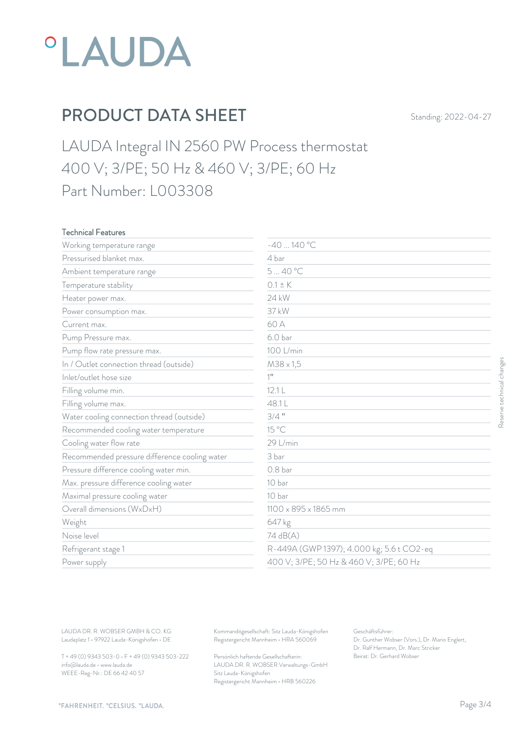

### PRODUCT DATA SHEET Standing: 2022-04-27

LAUDA Integral IN 2560 PW Process thermostat 400 V; 3/PE; 50 Hz & 460 V; 3/PE; 60 Hz Part Number: L003308

#### Technical Features

| Working temperature range                     | $-40140 °C$          |                                           |
|-----------------------------------------------|----------------------|-------------------------------------------|
| Pressurised blanket max.                      | 4 bar                |                                           |
| Ambient temperature range                     | 540 °C               |                                           |
| Temperature stability                         | $0.1 \pm K$          |                                           |
| Heater power max.                             | 24 kW                |                                           |
| Power consumption max.                        | 37 kW                |                                           |
| Current max.                                  | 60 A                 |                                           |
| Pump Pressure max.                            | 6.0 <sub>bar</sub>   |                                           |
| Pump flow rate pressure max.                  | 100 L/min            |                                           |
| In / Outlet connection thread (outside)       | $M38 \times 1,5$     |                                           |
| Inlet/outlet hose size                        | $1$ <sup>11</sup>    |                                           |
| Filling volume min.                           | 12.1 L               |                                           |
| Filling volume max.                           | 48.1L                |                                           |
| Water cooling connection thread (outside)     | $3/4$ "              |                                           |
| Recommended cooling water temperature         | 15 °C                |                                           |
| Cooling water flow rate                       | 29 L/min             |                                           |
| Recommended pressure difference cooling water | 3 bar                |                                           |
| Pressure difference cooling water min.        | 0.8 <sub>bar</sub>   |                                           |
| Max. pressure difference cooling water        | 10 bar               |                                           |
| Maximal pressure cooling water                | 10 bar               |                                           |
| Overall dimensions (WxDxH)                    | 1100 x 895 x 1865 mm |                                           |
| Weight                                        | 647 kg               |                                           |
| Noise level                                   | 74 dB(A)             |                                           |
| Refrigerant stage 1                           |                      | R-449A (GWP 1397); 4.000 kg; 5.6 t CO2-eq |
| Power supply                                  |                      | 400 V; 3/PE; 50 Hz & 460 V; 3/PE; 60 Hz   |

T + 49 (0) 9343 503-0 • F + 49 (0) 9343 503-222 info@lauda.de • www.lauda.de WEEE-Reg-Nr.: DE 66 42 40 57

> Persönlich haftende Gesellschafterin: Beirat: Dr. Gerhard Wobse LAUDA DR. R. WOBSER Verwaltungs-GmbH Sitz Lauda-Königshofen Registergericht Mannheim • HRB 560226